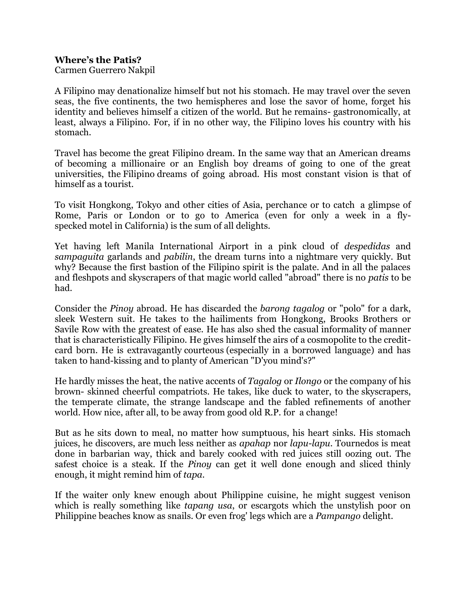## **Where's the Patis?**

Carmen Guerrero Nakpil

A Filipino may denationalize himself but not his stomach. He may travel over the seven seas, the five continents, the two hemispheres and lose the savor of home, forget his identity and believes himself a citizen of the world. But he remains- gastronomically, at least, always a Filipino. For, if in no other way, the Filipino loves his country with his stomach.

Travel has become the great Filipino dream. In the same way that an American dreams of becoming a millionaire or an English boy dreams of going to one of the great universities, the Filipino dreams of going abroad. His most constant vision is that of himself as a tourist.

To visit Hongkong, Tokyo and other cities of Asia, perchance or to catch a glimpse of Rome, Paris or London or to go to America (even for only a week in a flyspecked motel in California) is the sum of all delights.

Yet having left Manila International Airport in a pink cloud of *despedidas* and *sampaguita* garlands and *pabilin*, the dream turns into a nightmare very quickly. But why? Because the first bastion of the Filipino spirit is the palate. And in all the palaces and fleshpots and skyscrapers of that magic world called "abroad" there is no *patis* to be had.

Consider the *Pinoy* abroad. He has discarded the *barong tagalog* or "polo" for a dark, sleek Western suit. He takes to the hailiments from Hongkong, Brooks Brothers or Savile Row with the greatest of ease. He has also shed the casual informality of manner that is characteristically Filipino. He gives himself the airs of a cosmopolite to the creditcard born. He is extravagantly courteous (especially in a borrowed language) and has taken to hand-kissing and to planty of American "D'you mind's?"

He hardly misses the heat, the native accents of *Tagalog* or *Ilongo* or the company of his brown- skinned cheerful compatriots. He takes, like duck to water, to the skyscrapers, the temperate climate, the strange landscape and the fabled refinements of another world. How nice, after all, to be away from good old R.P. for a change!

But as he sits down to meal, no matter how sumptuous, his heart sinks. His stomach juices, he discovers, are much less neither as *apahap* nor *lapu-lapu*. Tournedos is meat done in barbarian way, thick and barely cooked with red juices still oozing out. The safest choice is a steak. If the *Pinoy* can get it well done enough and sliced thinly enough, it might remind him of *tapa*.

If the waiter only knew enough about Philippine cuisine, he might suggest venison which is really something like *tapang usa*, or escargots which the unstylish poor on Philippine beaches know as snails. Or even frog' legs which are a *Pampango* delight.